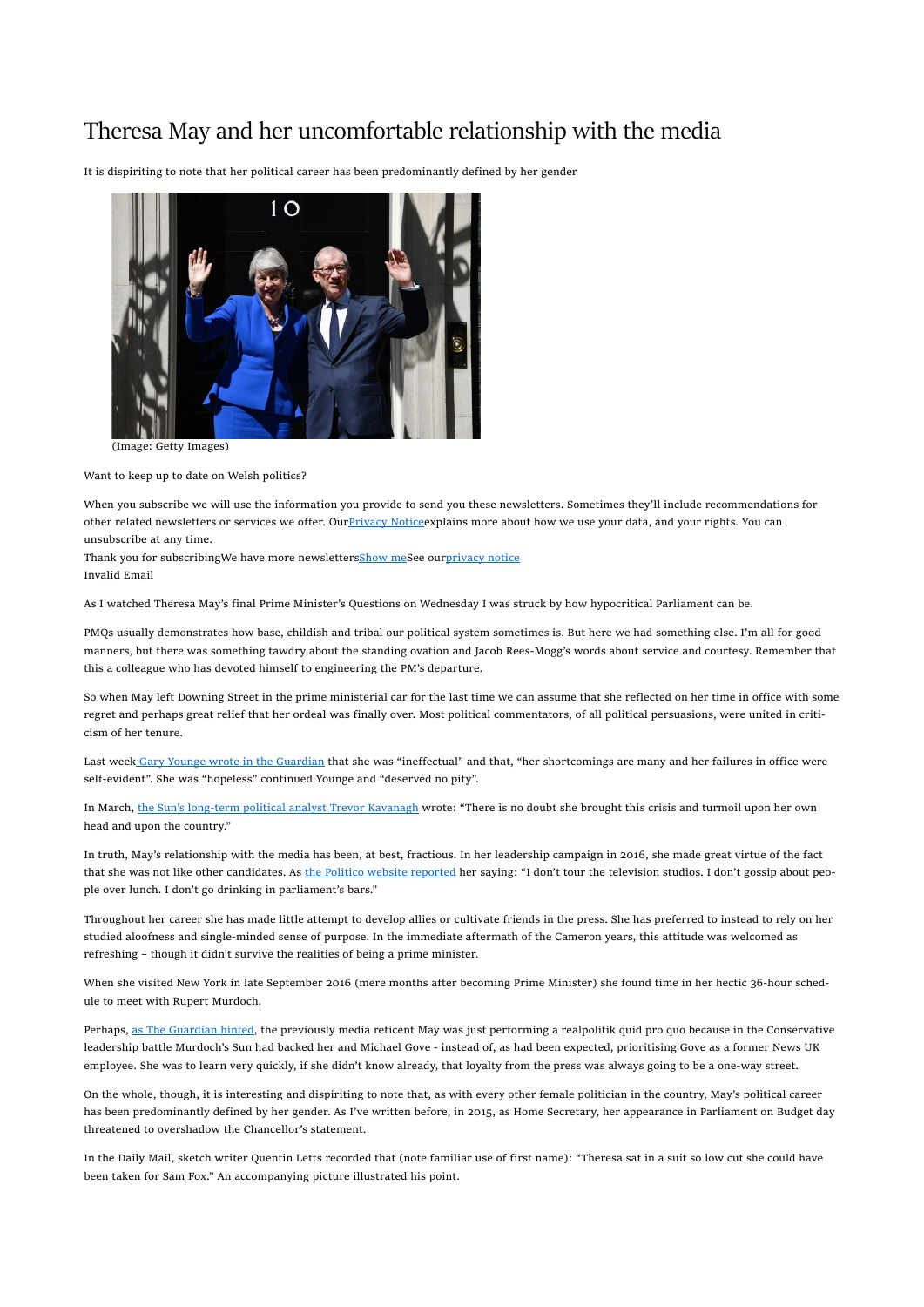## Theresa May and her uncomfortable relationship with the media

It is dispiriting to note that her political career has been predominantly defined by her gender



(Image: Getty Images)

Want to keep up to date on Welsh politics?

When you subscribe we will use the information you provide to send you these newsletters. Sometimes they'll include recommendations for other related newsletters or services we offer. Our Privacy Notice explains more about how we use your data, and your rights. You can unsubscribe at any time.

Thank you for subscribingWe have more newslettersShow meSee ourprivacy notice Invalid Email

As I watched Theresa May's final Prime Minister's Questions on Wednesday I was struck by how hypocritical Parliament can be.

PMQs usually demonstrates how base, childish and tribal our political system sometimes is. But here we had something else. I'm all for good manners, but there was something tawdry about the standing ovation and Jacob Rees-Mogg's words about service and courtesy. Remember that this a colleague who has devoted himself to engineering the PM's departure.

So when May left Downing Street in the prime ministerial car for the last time we can assume that she reflected on her time in office with some regret and perhaps great relief that her ordeal was finally over. Most political commentators, of all political persuasions, were united in criticism of her tenure.

Last week Gary Younge wrote in the Guardian that she was "ineffectual" and that, "her shortcomings are many and her failures in office were self-evident". She was "hopeless" continued Younge and "deserved no pity".

In March, the Sun's long-term political analyst Trevor Kavanagh wrote: "There is no doubt she brought this crisis and turmoil upon her own head and upon the country."

In truth, May's relationship with the media has been, at best, fractious. In her leadership campaign in 2016, she made great virtue of the fact that she was not like other candidates. As the Politico website reported her saying: "I don't tour the television studios. I don't gossip about people over lunch. I don't go drinking in parliament's bars."

Throughout her career she has made little attempt to develop allies or cultivate friends in the press. She has preferred to instead to rely on her studied aloofness and single-minded sense of purpose. In the immediate aftermath of the Cameron years, this attitude was welcomed as refreshing – though it didn't survive the realities of being a prime minister.

When she visited New York in late September 2016 (mere months after becoming Prime Minister) she found time in her hectic 36-hour schedule to meet with Rupert Murdoch.

Perhaps, as The Guardian hinted, the previously media reticent May was just performing a realpolitik quid pro quo because in the Conservative leadership battle Murdoch's Sun had backed her and Michael Gove - instead of, as had been expected, prioritising Gove as a former News UK employee. She was to learn very quickly, if she didn't know already, that loyalty from the press was always going to be a one-way street.

On the whole, though, it is interesting and dispiriting to note that, as with every other female politician in the country, May's political career has been predominantly defined by her gender. As I've written before, in 2015, as Home Secretary, her appearance in Parliament on Budget day threatened to overshadow the Chancellor's statement.

In the Daily Mail, sketch writer Quentin Letts recorded that (note familiar use of first name): "Theresa sat in a suit so low cut she could have been taken for Sam Fox." An accompanying picture illustrated his point.